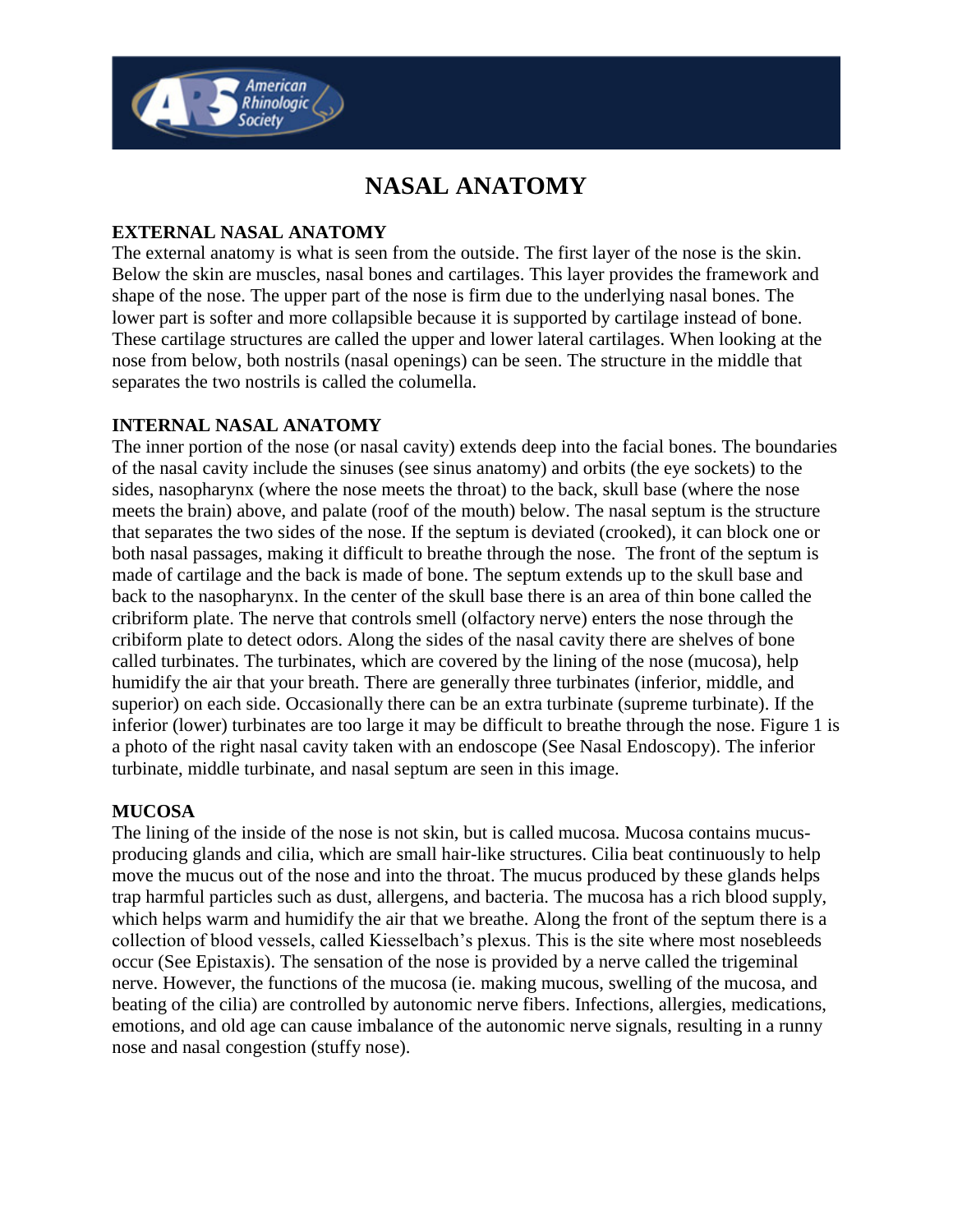

# **NASAL ANATOMY**

## **EXTERNAL NASAL ANATOMY**

The external anatomy is what is seen from the outside. The first layer of the nose is the skin. Below the skin are muscles, nasal bones and cartilages. This layer provides the framework and shape of the nose. The upper part of the nose is firm due to the underlying nasal bones. The lower part is softer and more collapsible because it is supported by cartilage instead of bone. These cartilage structures are called the upper and lower lateral cartilages. When looking at the nose from below, both nostrils (nasal openings) can be seen. The structure in the middle that separates the two nostrils is called the columella.

### **INTERNAL NASAL ANATOMY**

The inner portion of the nose (or nasal cavity) extends deep into the facial bones. The boundaries of the nasal cavity include the sinuses (see sinus anatomy) and orbits (the eye sockets) to the sides, nasopharynx (where the nose meets the throat) to the back, skull base (where the nose meets the brain) above, and palate (roof of the mouth) below. The nasal septum is the structure that separates the two sides of the nose. If the septum is deviated (crooked), it can block one or both nasal passages, making it difficult to breathe through the nose. The front of the septum is made of cartilage and the back is made of bone. The septum extends up to the skull base and back to the nasopharynx. In the center of the skull base there is an area of thin bone called the cribriform plate. The nerve that controls smell (olfactory nerve) enters the nose through the cribiform plate to detect odors. Along the sides of the nasal cavity there are shelves of bone called turbinates. The turbinates, which are covered by the lining of the nose (mucosa), help humidify the air that your breath. There are generally three turbinates (inferior, middle, and superior) on each side. Occasionally there can be an extra turbinate (supreme turbinate). If the inferior (lower) turbinates are too large it may be difficult to breathe through the nose. Figure 1 is a photo of the right nasal cavity taken with an endoscope (See Nasal Endoscopy). The inferior turbinate, middle turbinate, and nasal septum are seen in this image.

### **MUCOSA**

The lining of the inside of the nose is not skin, but is called mucosa. Mucosa contains mucusproducing glands and cilia, which are small hair-like structures. Cilia beat continuously to help move the mucus out of the nose and into the throat. The mucus produced by these glands helps trap harmful particles such as dust, allergens, and bacteria. The mucosa has a rich blood supply, which helps warm and humidify the air that we breathe. Along the front of the septum there is a collection of blood vessels, called Kiesselbach's plexus. This is the site where most nosebleeds occur (See Epistaxis). The sensation of the nose is provided by a nerve called the trigeminal nerve. However, the functions of the mucosa (ie. making mucous, swelling of the mucosa, and beating of the cilia) are controlled by autonomic nerve fibers. Infections, allergies, medications, emotions, and old age can cause imbalance of the autonomic nerve signals, resulting in a runny nose and nasal congestion (stuffy nose).